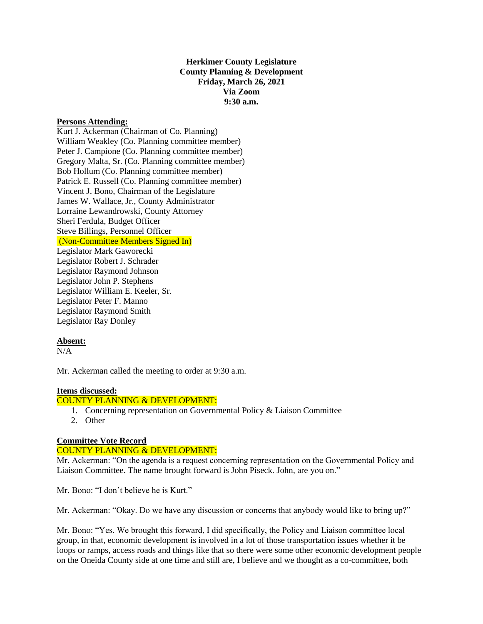# **Herkimer County Legislature County Planning & Development Friday, March 26, 2021 Via Zoom 9:30 a.m.**

#### **Persons Attending:**

Kurt J. Ackerman (Chairman of Co. Planning) William Weakley (Co. Planning committee member) Peter J. Campione (Co. Planning committee member) Gregory Malta, Sr. (Co. Planning committee member) Bob Hollum (Co. Planning committee member) Patrick E. Russell (Co. Planning committee member) Vincent J. Bono, Chairman of the Legislature James W. Wallace, Jr., County Administrator Lorraine Lewandrowski, County Attorney Sheri Ferdula, Budget Officer Steve Billings, Personnel Officer (Non-Committee Members Signed In) Legislator Mark Gaworecki Legislator Robert J. Schrader Legislator Raymond Johnson Legislator John P. Stephens Legislator William E. Keeler, Sr. Legislator Peter F. Manno Legislator Raymond Smith

# **Absent:**

 $N/A$ 

Mr. Ackerman called the meeting to order at 9:30 a.m.

# **Items discussed:**

Legislator Ray Donley

# COUNTY PLANNING & DEVELOPMENT:

- 1. Concerning representation on Governmental Policy & Liaison Committee
- 2. Other

# **Committee Vote Record**

# COUNTY PLANNING & DEVELOPMENT:

Mr. Ackerman: "On the agenda is a request concerning representation on the Governmental Policy and Liaison Committee. The name brought forward is John Piseck. John, are you on."

Mr. Bono: "I don't believe he is Kurt."

Mr. Ackerman: "Okay. Do we have any discussion or concerns that anybody would like to bring up?"

Mr. Bono: "Yes. We brought this forward, I did specifically, the Policy and Liaison committee local group, in that, economic development is involved in a lot of those transportation issues whether it be loops or ramps, access roads and things like that so there were some other economic development people on the Oneida County side at one time and still are, I believe and we thought as a co-committee, both